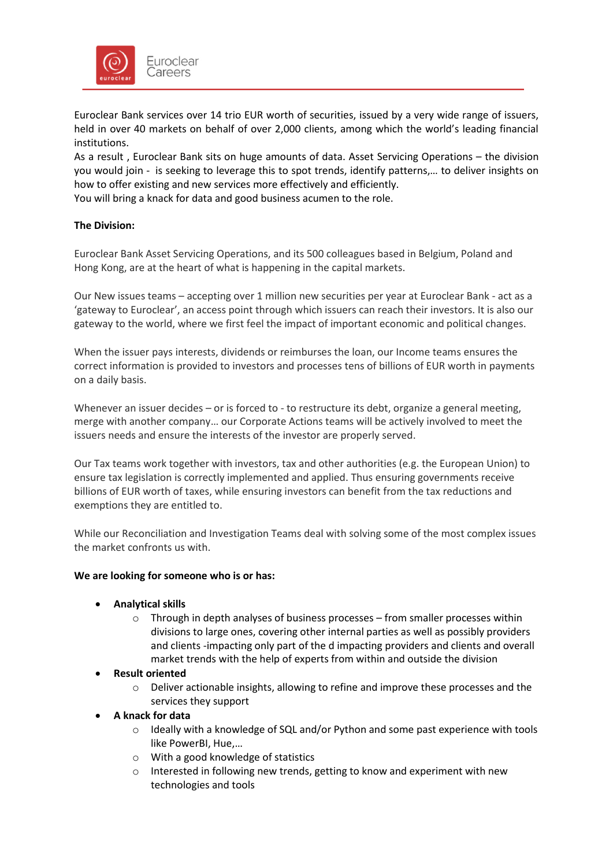

Euroclear Bank services over 14 trio EUR worth of securities, issued by a very wide range of issuers, held in over 40 markets on behalf of over 2,000 clients, among which the world's leading financial institutions.

As a result , Euroclear Bank sits on huge amounts of data. Asset Servicing Operations – the division you would join - is seeking to leverage this to spot trends, identify patterns,… to deliver insights on how to offer existing and new services more effectively and efficiently.

You will bring a knack for data and good business acumen to the role.

# **The Division:**

Euroclear Bank Asset Servicing Operations, and its 500 colleagues based in Belgium, Poland and Hong Kong, are at the heart of what is happening in the capital markets.

Our New issues teams – accepting over 1 million new securities per year at Euroclear Bank - act as a 'gateway to Euroclear', an access point through which issuers can reach their investors. It is also our gateway to the world, where we first feel the impact of important economic and political changes.

When the issuer pays interests, dividends or reimburses the loan, our Income teams ensures the correct information is provided to investors and processes tens of billions of EUR worth in payments on a daily basis.

Whenever an issuer decides – or is forced to - to restructure its debt, organize a general meeting, merge with another company… our Corporate Actions teams will be actively involved to meet the issuers needs and ensure the interests of the investor are properly served.

Our Tax teams work together with investors, tax and other authorities (e.g. the European Union) to ensure tax legislation is correctly implemented and applied. Thus ensuring governments receive billions of EUR worth of taxes, while ensuring investors can benefit from the tax reductions and exemptions they are entitled to.

While our Reconciliation and Investigation Teams deal with solving some of the most complex issues the market confronts us with.

## **We are looking for someone who is or has:**

- **Analytical skills**
	- $\circ$  Through in depth analyses of business processes from smaller processes within divisions to large ones, covering other internal parties as well as possibly providers and clients -impacting only part of the d impacting providers and clients and overall market trends with the help of experts from within and outside the division
- **Result oriented**
	- o Deliver actionable insights, allowing to refine and improve these processes and the services they support
- **A knack for data**
	- $\circ$  Ideally with a knowledge of SQL and/or Python and some past experience with tools like PowerBI, Hue,…
	- o With a good knowledge of statistics
	- o Interested in following new trends, getting to know and experiment with new technologies and tools